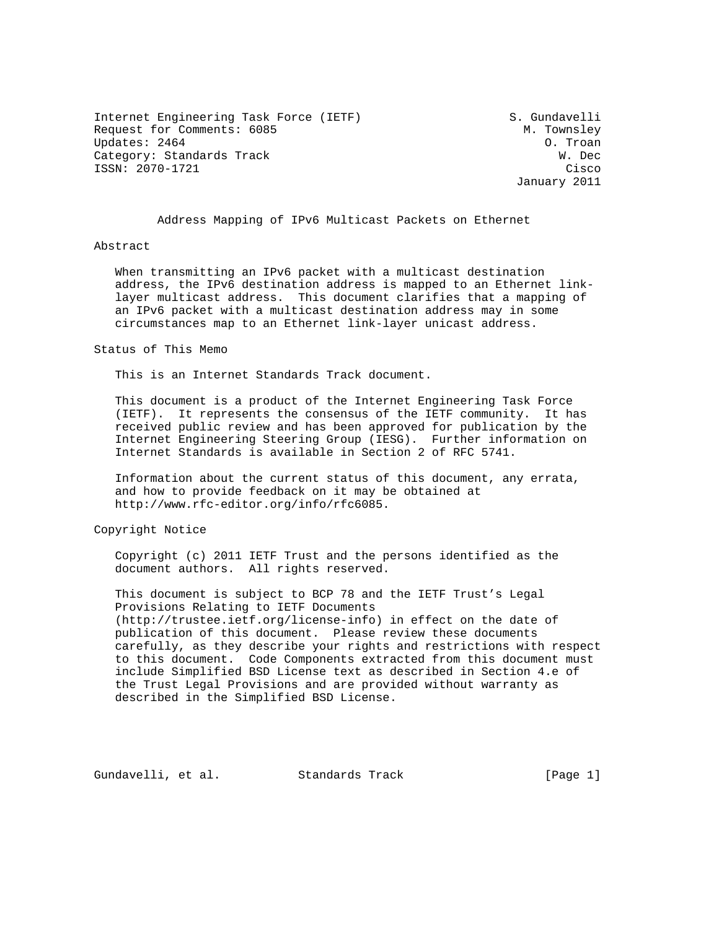Internet Engineering Task Force (IETF) S. Gundavelli Request for Comments: 6085 M. Townsley M. Townsley<br>Updates: 2464 0. Troan Updates: 2464 Category: Standards Track W. Dec ISSN: 2070-1721 Cisco

January 2011

Address Mapping of IPv6 Multicast Packets on Ethernet

## Abstract

 When transmitting an IPv6 packet with a multicast destination address, the IPv6 destination address is mapped to an Ethernet link layer multicast address. This document clarifies that a mapping of an IPv6 packet with a multicast destination address may in some circumstances map to an Ethernet link-layer unicast address.

Status of This Memo

This is an Internet Standards Track document.

 This document is a product of the Internet Engineering Task Force (IETF). It represents the consensus of the IETF community. It has received public review and has been approved for publication by the Internet Engineering Steering Group (IESG). Further information on Internet Standards is available in Section 2 of RFC 5741.

 Information about the current status of this document, any errata, and how to provide feedback on it may be obtained at http://www.rfc-editor.org/info/rfc6085.

Copyright Notice

 Copyright (c) 2011 IETF Trust and the persons identified as the document authors. All rights reserved.

 This document is subject to BCP 78 and the IETF Trust's Legal Provisions Relating to IETF Documents (http://trustee.ietf.org/license-info) in effect on the date of publication of this document. Please review these documents carefully, as they describe your rights and restrictions with respect to this document. Code Components extracted from this document must include Simplified BSD License text as described in Section 4.e of the Trust Legal Provisions and are provided without warranty as described in the Simplified BSD License.

Gundavelli, et al. Standards Track [Page 1]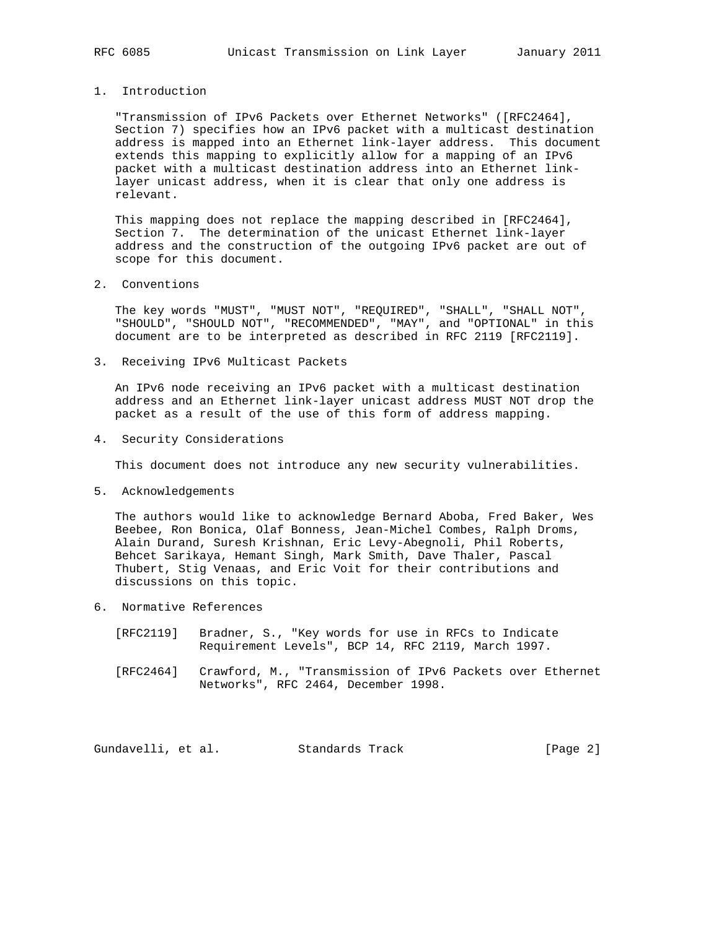## 1. Introduction

 "Transmission of IPv6 Packets over Ethernet Networks" ([RFC2464], Section 7) specifies how an IPv6 packet with a multicast destination address is mapped into an Ethernet link-layer address. This document extends this mapping to explicitly allow for a mapping of an IPv6 packet with a multicast destination address into an Ethernet link layer unicast address, when it is clear that only one address is relevant.

 This mapping does not replace the mapping described in [RFC2464], Section 7. The determination of the unicast Ethernet link-layer address and the construction of the outgoing IPv6 packet are out of scope for this document.

## 2. Conventions

 The key words "MUST", "MUST NOT", "REQUIRED", "SHALL", "SHALL NOT", "SHOULD", "SHOULD NOT", "RECOMMENDED", "MAY", and "OPTIONAL" in this document are to be interpreted as described in RFC 2119 [RFC2119].

3. Receiving IPv6 Multicast Packets

 An IPv6 node receiving an IPv6 packet with a multicast destination address and an Ethernet link-layer unicast address MUST NOT drop the packet as a result of the use of this form of address mapping.

4. Security Considerations

This document does not introduce any new security vulnerabilities.

5. Acknowledgements

 The authors would like to acknowledge Bernard Aboba, Fred Baker, Wes Beebee, Ron Bonica, Olaf Bonness, Jean-Michel Combes, Ralph Droms, Alain Durand, Suresh Krishnan, Eric Levy-Abegnoli, Phil Roberts, Behcet Sarikaya, Hemant Singh, Mark Smith, Dave Thaler, Pascal Thubert, Stig Venaas, and Eric Voit for their contributions and discussions on this topic.

- 6. Normative References
	- [RFC2119] Bradner, S., "Key words for use in RFCs to Indicate Requirement Levels", BCP 14, RFC 2119, March 1997.
	- [RFC2464] Crawford, M., "Transmission of IPv6 Packets over Ethernet Networks", RFC 2464, December 1998.

Gundavelli, et al. Standards Track [Page 2]